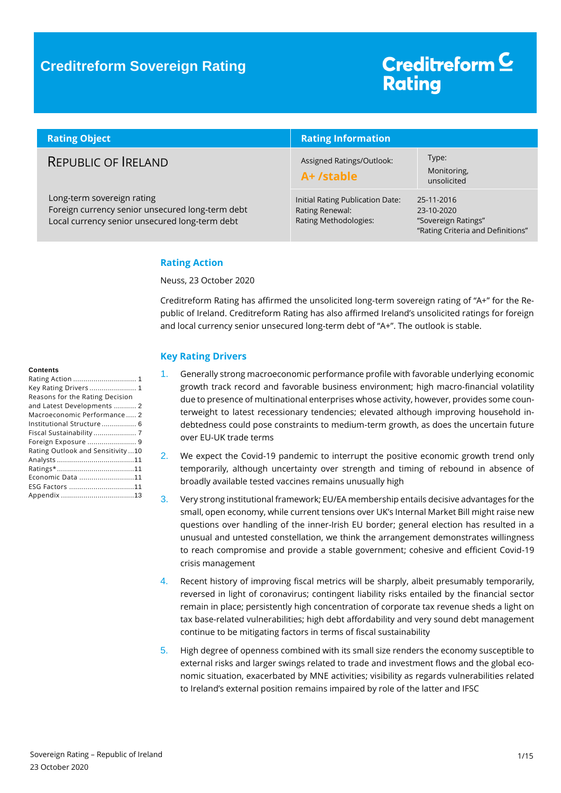## **Creditreform Sovereign Rating**

# Creditreform<sup>C</sup> **Rating**

| <b>Rating Object</b>                                                                                                             | <b>Rating Information</b>                                                    |                                                                                      |  |
|----------------------------------------------------------------------------------------------------------------------------------|------------------------------------------------------------------------------|--------------------------------------------------------------------------------------|--|
| REPUBLIC OF RELAND                                                                                                               | Assigned Ratings/Outlook:<br>A+ /stable                                      | Type:<br>Monitoring,<br>unsolicited                                                  |  |
| Long-term sovereign rating<br>Foreign currency senior unsecured long-term debt<br>Local currency senior unsecured long-term debt | Initial Rating Publication Date:<br>Rating Renewal:<br>Rating Methodologies: | 25-11-2016<br>23-10-2020<br>"Sovereign Ratings"<br>"Rating Criteria and Definitions" |  |

### <span id="page-0-0"></span>**Rating Action**

Neuss, 23 October 2020

Creditreform Rating has affirmed the unsolicited long-term sovereign rating of "A+" for the Republic of Ireland. Creditreform Rating has also affirmed Ireland's unsolicited ratings for foreign and local currency senior unsecured long-term debt of "A+". The outlook is stable.

### <span id="page-0-1"></span>**Key Rating Drivers**

- 1. Generally strong macroeconomic performance profile with favorable underlying economic growth track record and favorable business environment; high macro-financial volatility due to presence of multinational enterprises whose activity, however, provides some counterweight to latest recessionary tendencies; elevated although improving household indebtedness could pose constraints to medium-term growth, as does the uncertain future over EU-UK trade terms
- 2. We expect the Covid-19 pandemic to interrupt the positive economic growth trend only temporarily, although uncertainty over strength and timing of rebound in absence of broadly available tested vaccines remains unusually high
- 3. Very strong institutional framework; EU/EA membership entails decisive advantages for the small, open economy, while current tensions over UK's Internal Market Bill might raise new questions over handling of the inner-Irish EU border; general election has resulted in a unusual and untested constellation, we think the arrangement demonstrates willingness to reach compromise and provide a stable government; cohesive and efficient Covid-19 crisis management
- 4. Recent history of improving fiscal metrics will be sharply, albeit presumably temporarily, reversed in light of coronavirus; contingent liability risks entailed by the financial sector remain in place; persistently high concentration of corporate tax revenue sheds a light on tax base-related vulnerabilities; high debt affordability and very sound debt management continue to be mitigating factors in terms of fiscal sustainability
- 5. High degree of openness combined with its small size renders the economy susceptible to external risks and larger swings related to trade and investment flows and the global economic situation, exacerbated by MNE activities; visibility as regards vulnerabilities related to Ireland's external position remains impaired by role of the latter and IFSC

#### **Contents**

| Key Rating Drivers 1             |  |
|----------------------------------|--|
| Reasons for the Rating Decision  |  |
| and Latest Developments  2       |  |
| Macroeconomic Performance 2      |  |
| Institutional Structure 6        |  |
| Fiscal Sustainability 7          |  |
| Foreign Exposure  9              |  |
| Rating Outlook and Sensitivity10 |  |
|                                  |  |
|                                  |  |
| Economic Data 11                 |  |
| ESG Factors 11                   |  |
|                                  |  |
|                                  |  |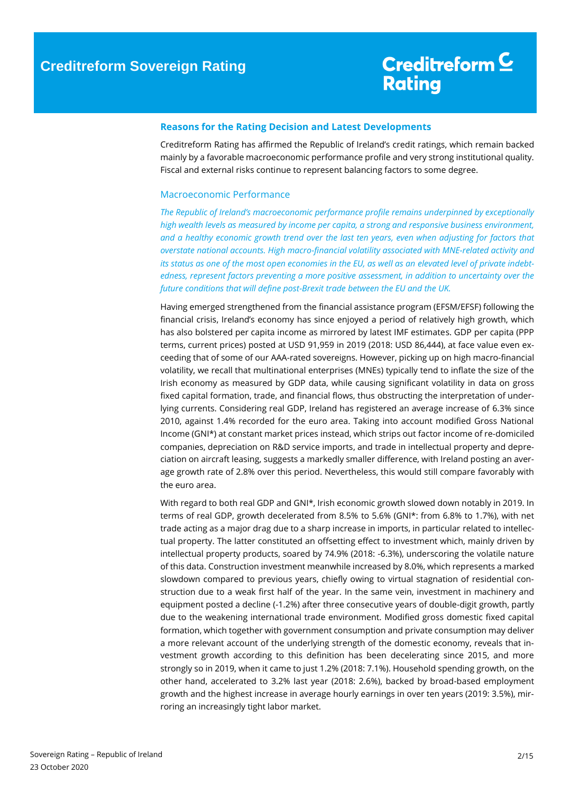### <span id="page-1-0"></span>**Reasons for the Rating Decision and Latest Developments**

Creditreform Rating has affirmed the Republic of Ireland's credit ratings, which remain backed mainly by a favorable macroeconomic performance profile and very strong institutional quality. Fiscal and external risks continue to represent balancing factors to some degree.

### <span id="page-1-1"></span>Macroeconomic Performance

*The Republic of Ireland's macroeconomic performance profile remains underpinned by exceptionally high wealth levels as measured by income per capita, a strong and responsive business environment, and a healthy economic growth trend over the last ten years, even when adjusting for factors that overstate national accounts. High macro-financial volatility associated with MNE-related activity and its status as one of the most open economies in the EU, as well as an elevated level of private indebtedness, represent factors preventing a more positive assessment, in addition to uncertainty over the future conditions that will define post-Brexit trade between the EU and the UK.*

Having emerged strengthened from the financial assistance program (EFSM/EFSF) following the financial crisis, Ireland's economy has since enjoyed a period of relatively high growth, which has also bolstered per capita income as mirrored by latest IMF estimates. GDP per capita (PPP terms, current prices) posted at USD 91,959 in 2019 (2018: USD 86,444), at face value even exceeding that of some of our AAA-rated sovereigns. However, picking up on high macro-financial volatility, we recall that multinational enterprises (MNEs) typically tend to inflate the size of the Irish economy as measured by GDP data, while causing significant volatility in data on gross fixed capital formation, trade, and financial flows, thus obstructing the interpretation of underlying currents. Considering real GDP, Ireland has registered an average increase of 6.3% since 2010, against 1.4% recorded for the euro area. Taking into account modified Gross National Income (GNI\*) at constant market prices instead, which strips out factor income of re-domiciled companies, depreciation on R&D service imports, and trade in intellectual property and depreciation on aircraft leasing, suggests a markedly smaller difference, with Ireland posting an average growth rate of 2.8% over this period. Nevertheless, this would still compare favorably with the euro area.

With regard to both real GDP and GNI\*, Irish economic growth slowed down notably in 2019. In terms of real GDP, growth decelerated from 8.5% to 5.6% (GNI\*: from 6.8% to 1.7%), with net trade acting as a major drag due to a sharp increase in imports, in particular related to intellectual property. The latter constituted an offsetting effect to investment which, mainly driven by intellectual property products, soared by 74.9% (2018: -6.3%), underscoring the volatile nature of this data. Construction investment meanwhile increased by 8.0%, which represents a marked slowdown compared to previous years, chiefly owing to virtual stagnation of residential construction due to a weak first half of the year. In the same vein, investment in machinery and equipment posted a decline (-1.2%) after three consecutive years of double-digit growth, partly due to the weakening international trade environment. Modified gross domestic fixed capital formation, which together with government consumption and private consumption may deliver a more relevant account of the underlying strength of the domestic economy, reveals that investment growth according to this definition has been decelerating since 2015, and more strongly so in 2019, when it came to just 1.2% (2018: 7.1%). Household spending growth, on the other hand, accelerated to 3.2% last year (2018: 2.6%), backed by broad-based employment growth and the highest increase in average hourly earnings in over ten years (2019: 3.5%), mirroring an increasingly tight labor market.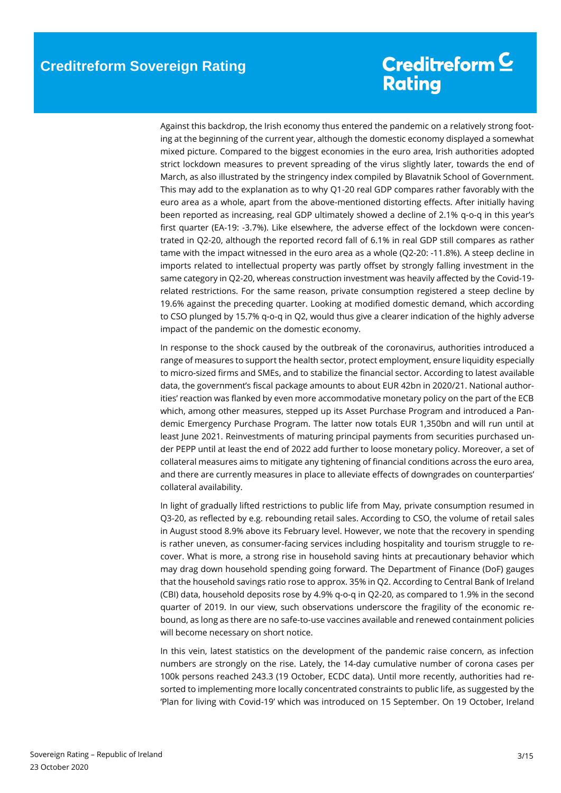Against this backdrop, the Irish economy thus entered the pandemic on a relatively strong footing at the beginning of the current year, although the domestic economy displayed a somewhat mixed picture. Compared to the biggest economies in the euro area, Irish authorities adopted strict lockdown measures to prevent spreading of the virus slightly later, towards the end of March, as also illustrated by the stringency index compiled by Blavatnik School of Government. This may add to the explanation as to why Q1-20 real GDP compares rather favorably with the euro area as a whole, apart from the above-mentioned distorting effects. After initially having been reported as increasing, real GDP ultimately showed a decline of 2.1% q-o-q in this year's first quarter (EA-19: -3.7%). Like elsewhere, the adverse effect of the lockdown were concentrated in Q2-20, although the reported record fall of 6.1% in real GDP still compares as rather tame with the impact witnessed in the euro area as a whole (Q2-20: -11.8%). A steep decline in imports related to intellectual property was partly offset by strongly falling investment in the same category in Q2-20, whereas construction investment was heavily affected by the Covid-19 related restrictions. For the same reason, private consumption registered a steep decline by 19.6% against the preceding quarter. Looking at modified domestic demand, which according to CSO plunged by 15.7% q-o-q in Q2, would thus give a clearer indication of the highly adverse impact of the pandemic on the domestic economy.

In response to the shock caused by the outbreak of the coronavirus, authorities introduced a range of measures to support the health sector, protect employment, ensure liquidity especially to micro-sized firms and SMEs, and to stabilize the financial sector. According to latest available data, the government's fiscal package amounts to about EUR 42bn in 2020/21. National authorities' reaction was flanked by even more accommodative monetary policy on the part of the ECB which, among other measures, stepped up its Asset Purchase Program and introduced a Pandemic Emergency Purchase Program. The latter now totals EUR 1,350bn and will run until at least June 2021. Reinvestments of maturing principal payments from securities purchased under PEPP until at least the end of 2022 add further to loose monetary policy. Moreover, a set of collateral measures aims to mitigate any tightening of financial conditions across the euro area, and there are currently measures in place to alleviate effects of downgrades on counterparties' collateral availability.

In light of gradually lifted restrictions to public life from May, private consumption resumed in Q3-20, as reflected by e.g. rebounding retail sales. According to CSO, the volume of retail sales in August stood 8.9% above its February level. However, we note that the recovery in spending is rather uneven, as consumer-facing services including hospitality and tourism struggle to recover. What is more, a strong rise in household saving hints at precautionary behavior which may drag down household spending going forward. The Department of Finance (DoF) gauges that the household savings ratio rose to approx. 35% in Q2. According to Central Bank of Ireland (CBI) data, household deposits rose by 4.9% q-o-q in Q2-20, as compared to 1.9% in the second quarter of 2019. In our view, such observations underscore the fragility of the economic rebound, as long as there are no safe-to-use vaccines available and renewed containment policies will become necessary on short notice.

In this vein, latest statistics on the development of the pandemic raise concern, as infection numbers are strongly on the rise. Lately, the 14-day cumulative number of corona cases per 100k persons reached 243.3 (19 October, ECDC data). Until more recently, authorities had resorted to implementing more locally concentrated constraints to public life, as suggested by the 'Plan for living with Covid-19' which was introduced on 15 September. On 19 October, Ireland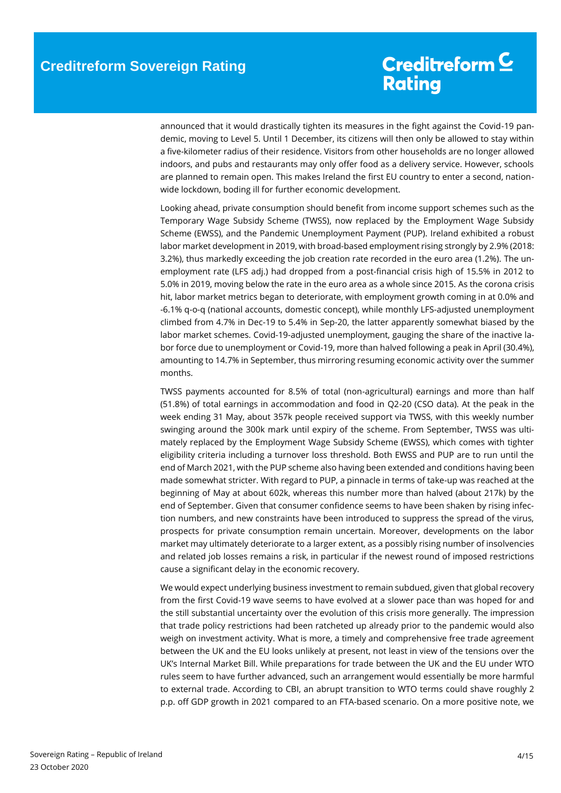announced that it would drastically tighten its measures in the fight against the Covid-19 pandemic, moving to Level 5. Until 1 December, its citizens will then only be allowed to stay within a five-kilometer radius of their residence. Visitors from other households are no longer allowed indoors, and pubs and restaurants may only offer food as a delivery service. However, schools are planned to remain open. This makes Ireland the first EU country to enter a second, nationwide lockdown, boding ill for further economic development.

Looking ahead, private consumption should benefit from income support schemes such as the Temporary Wage Subsidy Scheme (TWSS), now replaced by the Employment Wage Subsidy Scheme (EWSS), and the Pandemic Unemployment Payment (PUP). Ireland exhibited a robust labor market development in 2019, with broad-based employment rising strongly by 2.9% (2018: 3.2%), thus markedly exceeding the job creation rate recorded in the euro area (1.2%). The unemployment rate (LFS adj.) had dropped from a post-financial crisis high of 15.5% in 2012 to 5.0% in 2019, moving below the rate in the euro area as a whole since 2015. As the corona crisis hit, labor market metrics began to deteriorate, with employment growth coming in at 0.0% and -6.1% q-o-q (national accounts, domestic concept), while monthly LFS-adjusted unemployment climbed from 4.7% in Dec-19 to 5.4% in Sep-20, the latter apparently somewhat biased by the labor market schemes. Covid-19-adjusted unemployment, gauging the share of the inactive labor force due to unemployment or Covid-19, more than halved following a peak in April (30.4%), amounting to 14.7% in September, thus mirroring resuming economic activity over the summer months.

TWSS payments accounted for 8.5% of total (non-agricultural) earnings and more than half (51.8%) of total earnings in accommodation and food in Q2-20 (CSO data). At the peak in the week ending 31 May, about 357k people received support via TWSS, with this weekly number swinging around the 300k mark until expiry of the scheme. From September, TWSS was ultimately replaced by the Employment Wage Subsidy Scheme (EWSS), which comes with tighter eligibility criteria including a turnover loss threshold. Both EWSS and PUP are to run until the end of March 2021, with the PUP scheme also having been extended and conditions having been made somewhat stricter. With regard to PUP, a pinnacle in terms of take-up was reached at the beginning of May at about 602k, whereas this number more than halved (about 217k) by the end of September. Given that consumer confidence seems to have been shaken by rising infection numbers, and new constraints have been introduced to suppress the spread of the virus, prospects for private consumption remain uncertain. Moreover, developments on the labor market may ultimately deteriorate to a larger extent, as a possibly rising number of insolvencies and related job losses remains a risk, in particular if the newest round of imposed restrictions cause a significant delay in the economic recovery.

We would expect underlying business investment to remain subdued, given that global recovery from the first Covid-19 wave seems to have evolved at a slower pace than was hoped for and the still substantial uncertainty over the evolution of this crisis more generally. The impression that trade policy restrictions had been ratcheted up already prior to the pandemic would also weigh on investment activity. What is more, a timely and comprehensive free trade agreement between the UK and the EU looks unlikely at present, not least in view of the tensions over the UK's Internal Market Bill. While preparations for trade between the UK and the EU under WTO rules seem to have further advanced, such an arrangement would essentially be more harmful to external trade. According to CBI, an abrupt transition to WTO terms could shave roughly 2 p.p. off GDP growth in 2021 compared to an FTA-based scenario. On a more positive note, we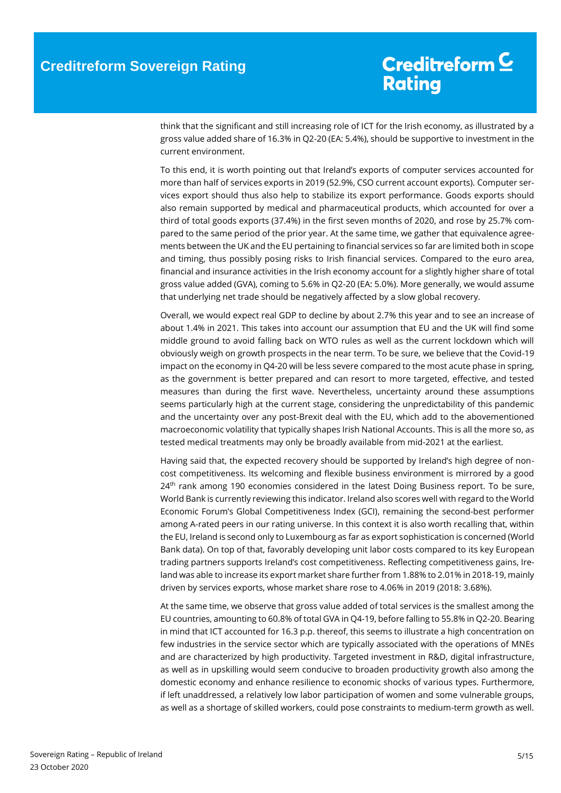think that the significant and still increasing role of ICT for the Irish economy, as illustrated by a gross value added share of 16.3% in Q2-20 (EA: 5.4%), should be supportive to investment in the current environment.

To this end, it is worth pointing out that Ireland's exports of computer services accounted for more than half of services exports in 2019 (52.9%, CSO current account exports). Computer services export should thus also help to stabilize its export performance. Goods exports should also remain supported by medical and pharmaceutical products, which accounted for over a third of total goods exports (37.4%) in the first seven months of 2020, and rose by 25.7% compared to the same period of the prior year. At the same time, we gather that equivalence agreements between the UK and the EU pertaining to financial services so far are limited both in scope and timing, thus possibly posing risks to Irish financial services. Compared to the euro area, financial and insurance activities in the Irish economy account for a slightly higher share of total gross value added (GVA), coming to 5.6% in Q2-20 (EA: 5.0%). More generally, we would assume that underlying net trade should be negatively affected by a slow global recovery.

Overall, we would expect real GDP to decline by about 2.7% this year and to see an increase of about 1.4% in 2021. This takes into account our assumption that EU and the UK will find some middle ground to avoid falling back on WTO rules as well as the current lockdown which will obviously weigh on growth prospects in the near term. To be sure, we believe that the Covid-19 impact on the economy in Q4-20 will be less severe compared to the most acute phase in spring, as the government is better prepared and can resort to more targeted, effective, and tested measures than during the first wave. Nevertheless, uncertainty around these assumptions seems particularly high at the current stage, considering the unpredictability of this pandemic and the uncertainty over any post-Brexit deal with the EU, which add to the abovementioned macroeconomic volatility that typically shapes Irish National Accounts. This is all the more so, as tested medical treatments may only be broadly available from mid-2021 at the earliest.

Having said that, the expected recovery should be supported by Ireland's high degree of noncost competitiveness. Its welcoming and flexible business environment is mirrored by a good 24<sup>th</sup> rank among 190 economies considered in the latest Doing Business report. To be sure, World Bank is currently reviewing this indicator. Ireland also scores well with regard to the World Economic Forum's Global Competitiveness Index (GCI), remaining the second-best performer among A-rated peers in our rating universe. In this context it is also worth recalling that, within the EU, Ireland is second only to Luxembourg as far as export sophistication is concerned (World Bank data). On top of that, favorably developing unit labor costs compared to its key European trading partners supports Ireland's cost competitiveness. Reflecting competitiveness gains, Ireland was able to increase its export market share further from 1.88% to 2.01% in 2018-19, mainly driven by services exports, whose market share rose to 4.06% in 2019 (2018: 3.68%).

At the same time, we observe that gross value added of total services is the smallest among the EU countries, amounting to 60.8% of total GVA in Q4-19, before falling to 55.8% in Q2-20. Bearing in mind that ICT accounted for 16.3 p.p. thereof, this seems to illustrate a high concentration on few industries in the service sector which are typically associated with the operations of MNEs and are characterized by high productivity. Targeted investment in R&D, digital infrastructure, as well as in upskilling would seem conducive to broaden productivity growth also among the domestic economy and enhance resilience to economic shocks of various types. Furthermore, if left unaddressed, a relatively low labor participation of women and some vulnerable groups, as well as a shortage of skilled workers, could pose constraints to medium-term growth as well.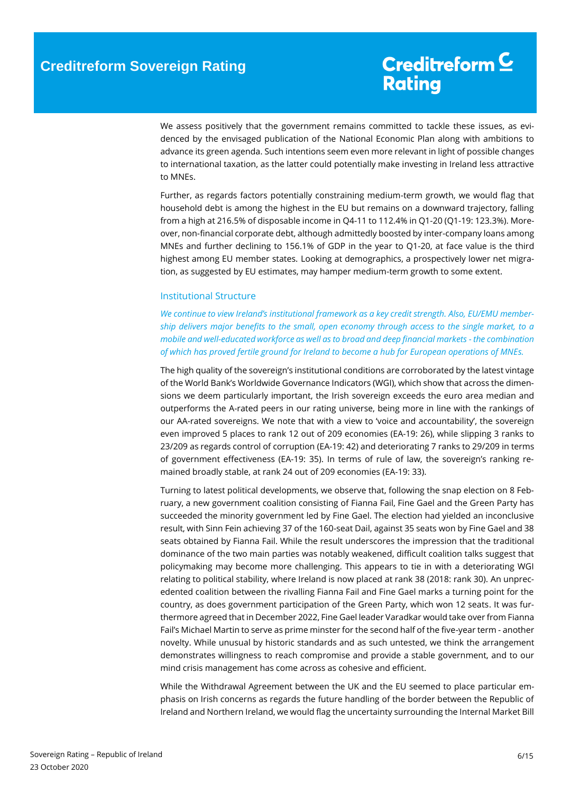We assess positively that the government remains committed to tackle these issues, as evidenced by the envisaged publication of the National Economic Plan along with ambitions to advance its green agenda. Such intentions seem even more relevant in light of possible changes to international taxation, as the latter could potentially make investing in Ireland less attractive to MNEs.

Further, as regards factors potentially constraining medium-term growth, we would flag that household debt is among the highest in the EU but remains on a downward trajectory, falling from a high at 216.5% of disposable income in Q4-11 to 112.4% in Q1-20 (Q1-19: 123.3%). Moreover, non-financial corporate debt, although admittedly boosted by inter-company loans among MNEs and further declining to 156.1% of GDP in the year to Q1-20, at face value is the third highest among EU member states. Looking at demographics, a prospectively lower net migration, as suggested by EU estimates, may hamper medium-term growth to some extent.

### <span id="page-5-0"></span>Institutional Structure

*We continue to view Ireland's institutional framework as a key credit strength. Also, EU/EMU membership delivers major benefits to the small, open economy through access to the single market, to a mobile and well-educated workforce as well as to broad and deep financial markets - the combination of which has proved fertile ground for Ireland to become a hub for European operations of MNEs.* 

The high quality of the sovereign's institutional conditions are corroborated by the latest vintage of the World Bank's Worldwide Governance Indicators (WGI), which show that across the dimensions we deem particularly important, the Irish sovereign exceeds the euro area median and outperforms the A-rated peers in our rating universe, being more in line with the rankings of our AA-rated sovereigns. We note that with a view to 'voice and accountability', the sovereign even improved 5 places to rank 12 out of 209 economies (EA-19: 26), while slipping 3 ranks to 23/209 as regards control of corruption (EA-19: 42) and deteriorating 7 ranks to 29/209 in terms of government effectiveness (EA-19: 35). In terms of rule of law, the sovereign's ranking remained broadly stable, at rank 24 out of 209 economies (EA-19: 33).

Turning to latest political developments, we observe that, following the snap election on 8 February, a new government coalition consisting of Fianna Fail, Fine Gael and the Green Party has succeeded the minority government led by Fine Gael. The election had yielded an inconclusive result, with Sinn Fein achieving 37 of the 160-seat Dail, against 35 seats won by Fine Gael and 38 seats obtained by Fianna Fail. While the result underscores the impression that the traditional dominance of the two main parties was notably weakened, difficult coalition talks suggest that policymaking may become more challenging. This appears to tie in with a deteriorating WGI relating to political stability, where Ireland is now placed at rank 38 (2018: rank 30). An unprecedented coalition between the rivalling Fianna Fail and Fine Gael marks a turning point for the country, as does government participation of the Green Party, which won 12 seats. It was furthermore agreed that in December 2022, Fine Gael leader Varadkar would take over from Fianna Fail's Michael Martin to serve as prime minster for the second half of the five-year term - another novelty. While unusual by historic standards and as such untested, we think the arrangement demonstrates willingness to reach compromise and provide a stable government, and to our mind crisis management has come across as cohesive and efficient.

While the Withdrawal Agreement between the UK and the EU seemed to place particular emphasis on Irish concerns as regards the future handling of the border between the Republic of Ireland and Northern Ireland, we would flag the uncertainty surrounding the Internal Market Bill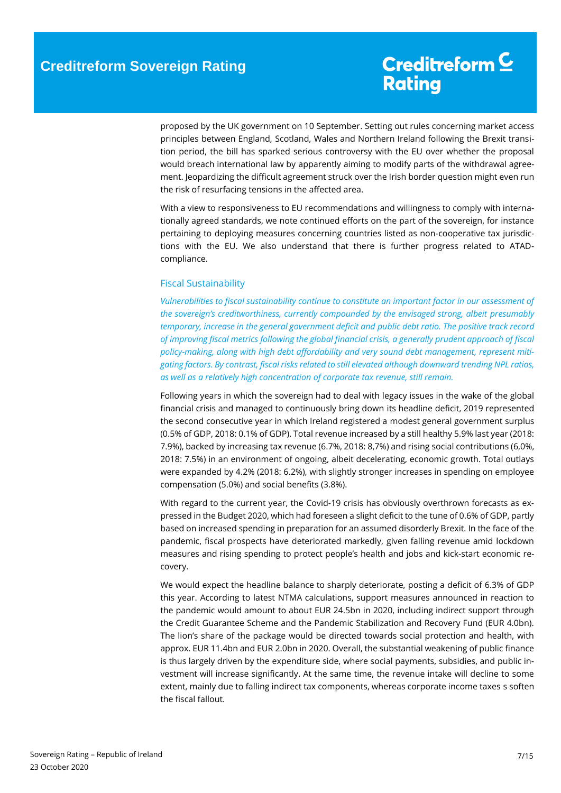proposed by the UK government on 10 September. Setting out rules concerning market access principles between England, Scotland, Wales and Northern Ireland following the Brexit transition period, the bill has sparked serious controversy with the EU over whether the proposal would breach international law by apparently aiming to modify parts of the withdrawal agreement. Jeopardizing the difficult agreement struck over the Irish border question might even run the risk of resurfacing tensions in the affected area.

With a view to responsiveness to EU recommendations and willingness to comply with internationally agreed standards, we note continued efforts on the part of the sovereign, for instance pertaining to deploying measures concerning countries listed as non-cooperative tax jurisdictions with the EU. We also understand that there is further progress related to ATADcompliance.

### <span id="page-6-0"></span>Fiscal Sustainability

*Vulnerabilities to fiscal sustainability continue to constitute an important factor in our assessment of the sovereign's creditworthiness, currently compounded by the envisaged strong, albeit presumably temporary, increase in the general government deficit and public debt ratio. The positive track record of improving fiscal metrics following the global financial crisis, a generally prudent approach of fiscal policy-making, along with high debt affordability and very sound debt management, represent mitigating factors. By contrast, fiscal risks related to still elevated although downward trending NPL ratios, as well as a relatively high concentration of corporate tax revenue, still remain.* 

Following years in which the sovereign had to deal with legacy issues in the wake of the global financial crisis and managed to continuously bring down its headline deficit, 2019 represented the second consecutive year in which Ireland registered a modest general government surplus (0.5% of GDP, 2018: 0.1% of GDP). Total revenue increased by a still healthy 5.9% last year (2018: 7.9%), backed by increasing tax revenue (6.7%, 2018: 8,7%) and rising social contributions (6,0%, 2018: 7.5%) in an environment of ongoing, albeit decelerating, economic growth. Total outlays were expanded by 4.2% (2018: 6.2%), with slightly stronger increases in spending on employee compensation (5.0%) and social benefits (3.8%).

With regard to the current year, the Covid-19 crisis has obviously overthrown forecasts as expressed in the Budget 2020, which had foreseen a slight deficit to the tune of 0.6% of GDP, partly based on increased spending in preparation for an assumed disorderly Brexit. In the face of the pandemic, fiscal prospects have deteriorated markedly, given falling revenue amid lockdown measures and rising spending to protect people's health and jobs and kick-start economic recovery.

We would expect the headline balance to sharply deteriorate, posting a deficit of 6.3% of GDP this year. According to latest NTMA calculations, support measures announced in reaction to the pandemic would amount to about EUR 24.5bn in 2020, including indirect support through the Credit Guarantee Scheme and the Pandemic Stabilization and Recovery Fund (EUR 4.0bn). The lion's share of the package would be directed towards social protection and health, with approx. EUR 11.4bn and EUR 2.0bn in 2020. Overall, the substantial weakening of public finance is thus largely driven by the expenditure side, where social payments, subsidies, and public investment will increase significantly. At the same time, the revenue intake will decline to some extent, mainly due to falling indirect tax components, whereas corporate income taxes s soften the fiscal fallout.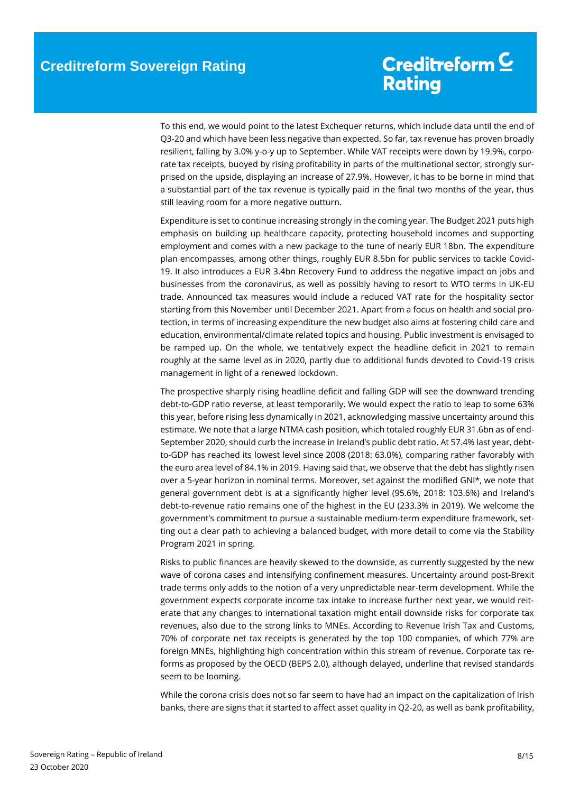To this end, we would point to the latest Exchequer returns, which include data until the end of Q3-20 and which have been less negative than expected. So far, tax revenue has proven broadly resilient, falling by 3.0% y-o-y up to September. While VAT receipts were down by 19.9%, corporate tax receipts, buoyed by rising profitability in parts of the multinational sector, strongly surprised on the upside, displaying an increase of 27.9%. However, it has to be borne in mind that a substantial part of the tax revenue is typically paid in the final two months of the year, thus still leaving room for a more negative outturn.

Expenditure is set to continue increasing strongly in the coming year. The Budget 2021 puts high emphasis on building up healthcare capacity, protecting household incomes and supporting employment and comes with a new package to the tune of nearly EUR 18bn. The expenditure plan encompasses, among other things, roughly EUR 8.5bn for public services to tackle Covid-19. It also introduces a EUR 3.4bn Recovery Fund to address the negative impact on jobs and businesses from the coronavirus, as well as possibly having to resort to WTO terms in UK-EU trade. Announced tax measures would include a reduced VAT rate for the hospitality sector starting from this November until December 2021. Apart from a focus on health and social protection, in terms of increasing expenditure the new budget also aims at fostering child care and education, environmental/climate related topics and housing. Public investment is envisaged to be ramped up. On the whole, we tentatively expect the headline deficit in 2021 to remain roughly at the same level as in 2020, partly due to additional funds devoted to Covid-19 crisis management in light of a renewed lockdown.

The prospective sharply rising headline deficit and falling GDP will see the downward trending debt-to-GDP ratio reverse, at least temporarily. We would expect the ratio to leap to some 63% this year, before rising less dynamically in 2021, acknowledging massive uncertainty around this estimate. We note that a large NTMA cash position, which totaled roughly EUR 31.6bn as of end-September 2020, should curb the increase in Ireland's public debt ratio. At 57.4% last year, debtto-GDP has reached its lowest level since 2008 (2018: 63.0%), comparing rather favorably with the euro area level of 84.1% in 2019. Having said that, we observe that the debt has slightly risen over a 5-year horizon in nominal terms. Moreover, set against the modified GNI\*, we note that general government debt is at a significantly higher level (95.6%, 2018: 103.6%) and Ireland's debt-to-revenue ratio remains one of the highest in the EU (233.3% in 2019). We welcome the government's commitment to pursue a sustainable medium-term expenditure framework, setting out a clear path to achieving a balanced budget, with more detail to come via the Stability Program 2021 in spring.

Risks to public finances are heavily skewed to the downside, as currently suggested by the new wave of corona cases and intensifying confinement measures. Uncertainty around post-Brexit trade terms only adds to the notion of a very unpredictable near-term development. While the government expects corporate income tax intake to increase further next year, we would reiterate that any changes to international taxation might entail downside risks for corporate tax revenues, also due to the strong links to MNEs. According to Revenue Irish Tax and Customs, 70% of corporate net tax receipts is generated by the top 100 companies, of which 77% are foreign MNEs, highlighting high concentration within this stream of revenue. Corporate tax reforms as proposed by the OECD (BEPS 2.0), although delayed, underline that revised standards seem to be looming.

While the corona crisis does not so far seem to have had an impact on the capitalization of Irish banks, there are signs that it started to affect asset quality in Q2-20, as well as bank profitability,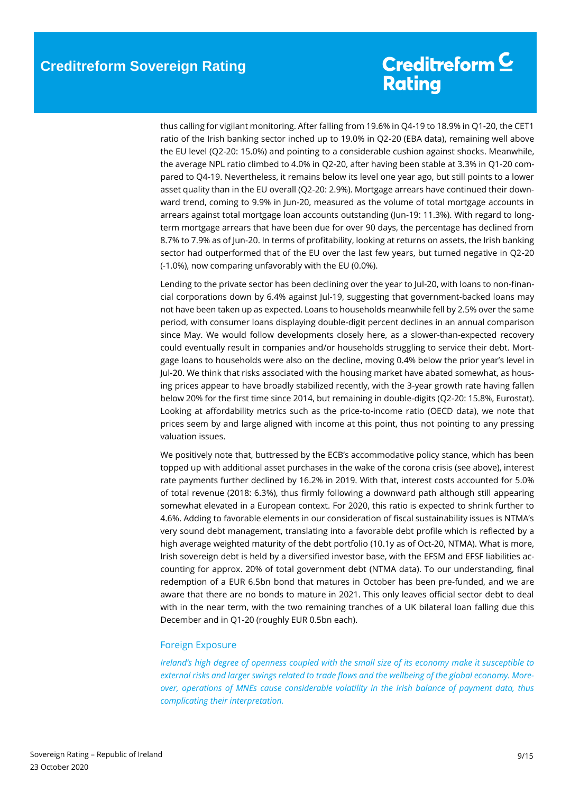thus calling for vigilant monitoring. After falling from 19.6% in Q4-19 to 18.9% in Q1-20, the CET1 ratio of the Irish banking sector inched up to 19.0% in Q2-20 (EBA data), remaining well above the EU level (Q2-20: 15.0%) and pointing to a considerable cushion against shocks. Meanwhile, the average NPL ratio climbed to 4.0% in Q2-20, after having been stable at 3.3% in Q1-20 compared to Q4-19. Nevertheless, it remains below its level one year ago, but still points to a lower asset quality than in the EU overall (Q2-20: 2.9%). Mortgage arrears have continued their downward trend, coming to 9.9% in Jun-20, measured as the volume of total mortgage accounts in arrears against total mortgage loan accounts outstanding (Jun-19: 11.3%). With regard to longterm mortgage arrears that have been due for over 90 days, the percentage has declined from 8.7% to 7.9% as of Jun-20. In terms of profitability, looking at returns on assets, the Irish banking sector had outperformed that of the EU over the last few years, but turned negative in Q2-20 (-1.0%), now comparing unfavorably with the EU (0.0%).

Lending to the private sector has been declining over the year to Jul-20, with loans to non-financial corporations down by 6.4% against Jul-19, suggesting that government-backed loans may not have been taken up as expected. Loans to households meanwhile fell by 2.5% over the same period, with consumer loans displaying double-digit percent declines in an annual comparison since May. We would follow developments closely here, as a slower-than-expected recovery could eventually result in companies and/or households struggling to service their debt. Mortgage loans to households were also on the decline, moving 0.4% below the prior year's level in Jul-20. We think that risks associated with the housing market have abated somewhat, as housing prices appear to have broadly stabilized recently, with the 3-year growth rate having fallen below 20% for the first time since 2014, but remaining in double-digits (Q2-20: 15.8%, Eurostat). Looking at affordability metrics such as the price-to-income ratio (OECD data), we note that prices seem by and large aligned with income at this point, thus not pointing to any pressing valuation issues.

We positively note that, buttressed by the ECB's accommodative policy stance, which has been topped up with additional asset purchases in the wake of the corona crisis (see above), interest rate payments further declined by 16.2% in 2019. With that, interest costs accounted for 5.0% of total revenue (2018: 6.3%), thus firmly following a downward path although still appearing somewhat elevated in a European context. For 2020, this ratio is expected to shrink further to 4.6%. Adding to favorable elements in our consideration of fiscal sustainability issues is NTMA's very sound debt management, translating into a favorable debt profile which is reflected by a high average weighted maturity of the debt portfolio (10.1y as of Oct-20, NTMA). What is more, Irish sovereign debt is held by a diversified investor base, with the EFSM and EFSF liabilities accounting for approx. 20% of total government debt (NTMA data). To our understanding, final redemption of a EUR 6.5bn bond that matures in October has been pre-funded, and we are aware that there are no bonds to mature in 2021. This only leaves official sector debt to deal with in the near term, with the two remaining tranches of a UK bilateral loan falling due this December and in Q1-20 (roughly EUR 0.5bn each).

### <span id="page-8-0"></span>Foreign Exposure

*Ireland's high degree of openness coupled with the small size of its economy make it susceptible to external risks and larger swings related to trade flows and the wellbeing of the global economy. Moreover, operations of MNEs cause considerable volatility in the Irish balance of payment data, thus complicating their interpretation.*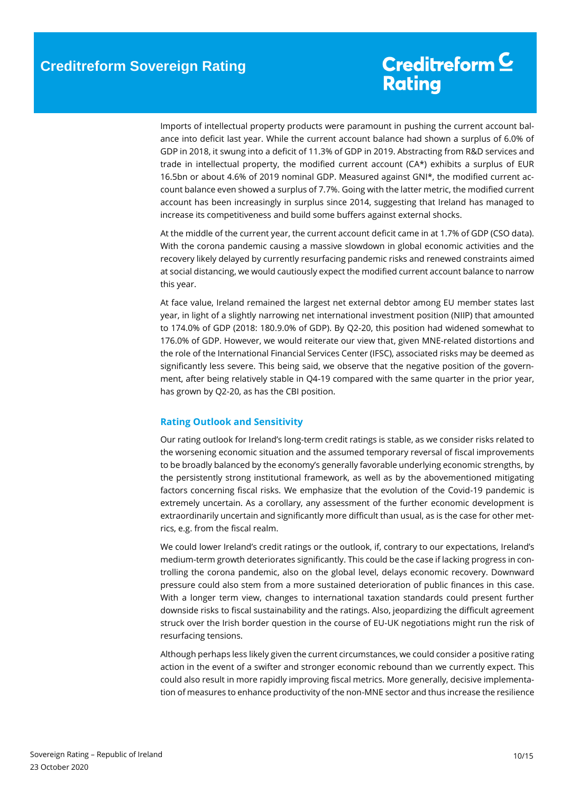Imports of intellectual property products were paramount in pushing the current account balance into deficit last year. While the current account balance had shown a surplus of 6.0% of GDP in 2018, it swung into a deficit of 11.3% of GDP in 2019. Abstracting from R&D services and trade in intellectual property, the modified current account (CA\*) exhibits a surplus of EUR 16.5bn or about 4.6% of 2019 nominal GDP. Measured against GNI\*, the modified current account balance even showed a surplus of 7.7%. Going with the latter metric, the modified current account has been increasingly in surplus since 2014, suggesting that Ireland has managed to increase its competitiveness and build some buffers against external shocks.

At the middle of the current year, the current account deficit came in at 1.7% of GDP (CSO data). With the corona pandemic causing a massive slowdown in global economic activities and the recovery likely delayed by currently resurfacing pandemic risks and renewed constraints aimed at social distancing, we would cautiously expect the modified current account balance to narrow this year.

At face value, Ireland remained the largest net external debtor among EU member states last year, in light of a slightly narrowing net international investment position (NIIP) that amounted to 174.0% of GDP (2018: 180.9.0% of GDP). By Q2-20, this position had widened somewhat to 176.0% of GDP. However, we would reiterate our view that, given MNE-related distortions and the role of the International Financial Services Center (IFSC), associated risks may be deemed as significantly less severe. This being said, we observe that the negative position of the government, after being relatively stable in Q4-19 compared with the same quarter in the prior year, has grown by Q2-20, as has the CBI position.

### <span id="page-9-0"></span>**Rating Outlook and Sensitivity**

Our rating outlook for Ireland's long-term credit ratings is stable, as we consider risks related to the worsening economic situation and the assumed temporary reversal of fiscal improvements to be broadly balanced by the economy's generally favorable underlying economic strengths, by the persistently strong institutional framework, as well as by the abovementioned mitigating factors concerning fiscal risks. We emphasize that the evolution of the Covid-19 pandemic is extremely uncertain. As a corollary, any assessment of the further economic development is extraordinarily uncertain and significantly more difficult than usual, as is the case for other metrics, e.g. from the fiscal realm.

We could lower Ireland's credit ratings or the outlook, if, contrary to our expectations, Ireland's medium-term growth deteriorates significantly. This could be the case if lacking progress in controlling the corona pandemic, also on the global level, delays economic recovery. Downward pressure could also stem from a more sustained deterioration of public finances in this case. With a longer term view, changes to international taxation standards could present further downside risks to fiscal sustainability and the ratings. Also, jeopardizing the difficult agreement struck over the Irish border question in the course of EU-UK negotiations might run the risk of resurfacing tensions.

Although perhaps less likely given the current circumstances, we could consider a positive rating action in the event of a swifter and stronger economic rebound than we currently expect. This could also result in more rapidly improving fiscal metrics. More generally, decisive implementation of measures to enhance productivity of the non-MNE sector and thus increase the resilience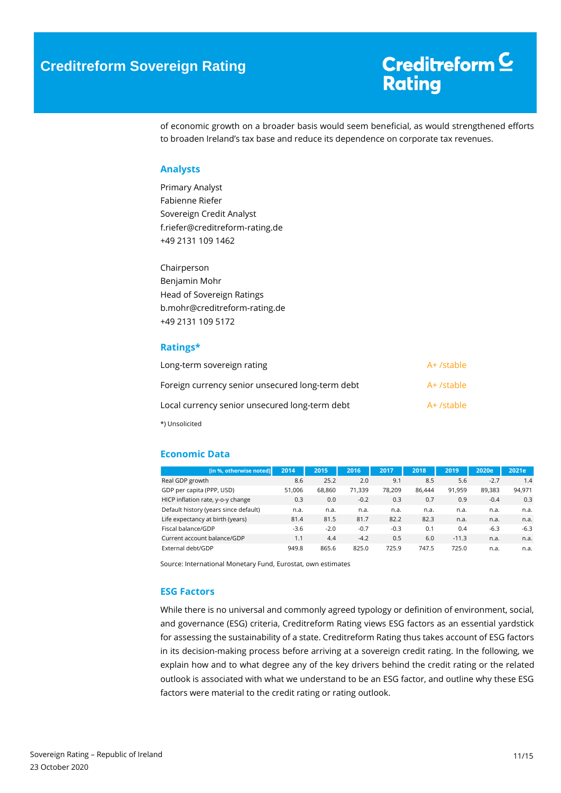of economic growth on a broader basis would seem beneficial, as would strengthened efforts to broaden Ireland's tax base and reduce its dependence on corporate tax revenues.

### <span id="page-10-0"></span>**Analysts**

Primary Analyst Fabienne Riefer Sovereign Credit Analyst f.riefer@creditreform-rating.de +49 2131 109 1462

Chairperson Benjamin Mohr Head of Sovereign Ratings b.mohr@creditreform-rating.de +49 2131 109 5172

### <span id="page-10-1"></span>**Ratings\***

| Long-term sovereign rating                       | A+ /stable |
|--------------------------------------------------|------------|
| Foreign currency senior unsecured long-term debt | A+ /stable |
| Local currency senior unsecured long-term debt   | A+ /stable |
| *) Unsolicited                                   |            |

### <span id="page-10-2"></span>**Economic Data**

| [in %, otherwise noted]               | 2014   | 2015   | 2016   | 2017   | 2018   | 2019    | 2020e  | 2021e  |
|---------------------------------------|--------|--------|--------|--------|--------|---------|--------|--------|
| Real GDP growth                       | 8.6    | 25.2   | 2.0    | 9.1    | 8.5    | 5.6     | $-2.7$ | 1.4    |
| GDP per capita (PPP, USD)             | 51.006 | 68.860 | 71,339 | 78.209 | 86.444 | 91.959  | 89.383 | 94,971 |
| HICP inflation rate, y-o-y change     | 0.3    | 0.0    | $-0.2$ | 0.3    | 0.7    | 0.9     | $-0.4$ | 0.3    |
| Default history (years since default) | n.a.   | n.a.   | n.a.   | n.a.   | n.a.   | n.a.    | n.a.   | n.a.   |
| Life expectancy at birth (years)      | 81.4   | 81.5   | 81.7   | 82.2   | 82.3   | n.a.    | n.a.   | n.a.   |
| Fiscal balance/GDP                    | -3.6   | $-2.0$ | $-0.7$ | $-0.3$ | 0.1    | 0.4     | $-6.3$ | $-6.3$ |
| Current account balance/GDP           | 1.1    | 4.4    | $-4.2$ | 0.5    | 6.0    | $-11.3$ | n.a.   | n.a.   |
| External debt/GDP                     | 949.8  | 865.6  | 825.0  | 725.9  | 747.5  | 725.0   | n.a.   | n.a.   |

Source: International Monetary Fund, Eurostat, own estimates

### <span id="page-10-3"></span>**ESG Factors**

While there is no universal and commonly agreed typology or definition of environment, social, and governance (ESG) criteria, Creditreform Rating views ESG factors as an essential yardstick for assessing the sustainability of a state. Creditreform Rating thus takes account of ESG factors in its decision-making process before arriving at a sovereign credit rating. In the following, we explain how and to what degree any of the key drivers behind the credit rating or the related outlook is associated with what we understand to be an ESG factor, and outline why these ESG factors were material to the credit rating or rating outlook.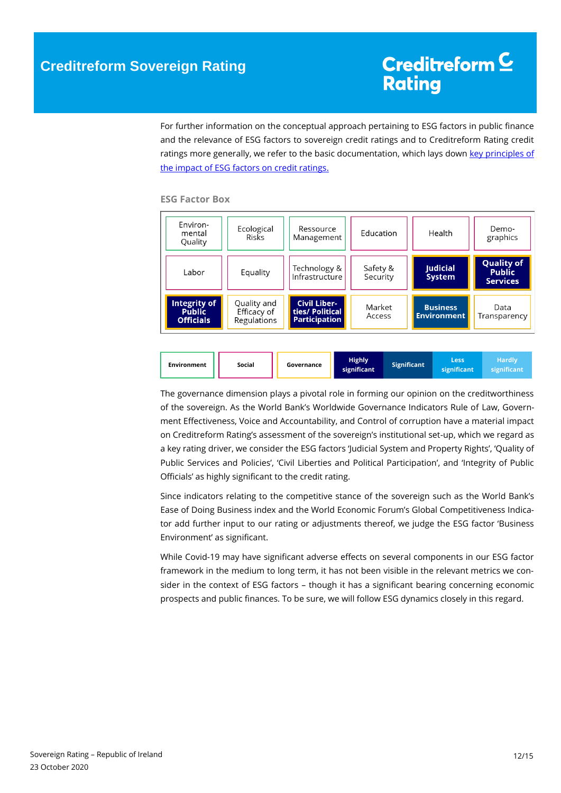For further information on the conceptual approach pertaining to ESG factors in public finance and the relevance of ESG factors to sovereign credit ratings and to Creditreform Rating credit ratings more generally, we refer to the basic documentation, which lays down key principles of [the impact of ESG factors on credit ratings.](https://www.creditreform-rating.de/en/about-us/regulatory-requirements.html?file=files/content/downloads/Externes%20Rating/Regulatorische%20Anforderungen/EN/Ratingmethodiken%20EN/The%20Impact%20of%20ESG%20Factors%20on%20Credit%20Ratings.pdf)

### **ESG Factor Box**

| Environ-<br>mental<br>Quality                     | Ecological<br>Risks                       | Ressource<br>Management                                        | Education            | Health                                | Demo-<br>graphics                                     |
|---------------------------------------------------|-------------------------------------------|----------------------------------------------------------------|----------------------|---------------------------------------|-------------------------------------------------------|
| Labor                                             | Equality                                  | Technology &<br>Infrastructure                                 | Safety &<br>Security | <b>Judicial</b><br><b>System</b>      | <b>Quality of</b><br><b>Public</b><br><b>Services</b> |
| Integrity of<br><b>Public</b><br><b>Officials</b> | Quality and<br>Efficacy of<br>Regulations | <b>Civil Liber-</b><br>ties/ Political<br><b>Participation</b> | Market<br>Access     | <b>Business</b><br><b>Environment</b> | Data<br>Transparency                                  |



The governance dimension plays a pivotal role in forming our opinion on the creditworthiness of the sovereign. As the World Bank's Worldwide Governance Indicators Rule of Law, Government Effectiveness, Voice and Accountability, and Control of corruption have a material impact on Creditreform Rating's assessment of the sovereign's institutional set-up, which we regard as a key rating driver, we consider the ESG factors 'Judicial System and Property Rights', 'Quality of Public Services and Policies', 'Civil Liberties and Political Participation', and 'Integrity of Public Officials' as highly significant to the credit rating.

Since indicators relating to the competitive stance of the sovereign such as the World Bank's Ease of Doing Business index and the World Economic Forum's Global Competitiveness Indicator add further input to our rating or adjustments thereof, we judge the ESG factor 'Business Environment' as significant.

While Covid-19 may have significant adverse effects on several components in our ESG factor framework in the medium to long term, it has not been visible in the relevant metrics we consider in the context of ESG factors – though it has a significant bearing concerning economic prospects and public finances. To be sure, we will follow ESG dynamics closely in this regard.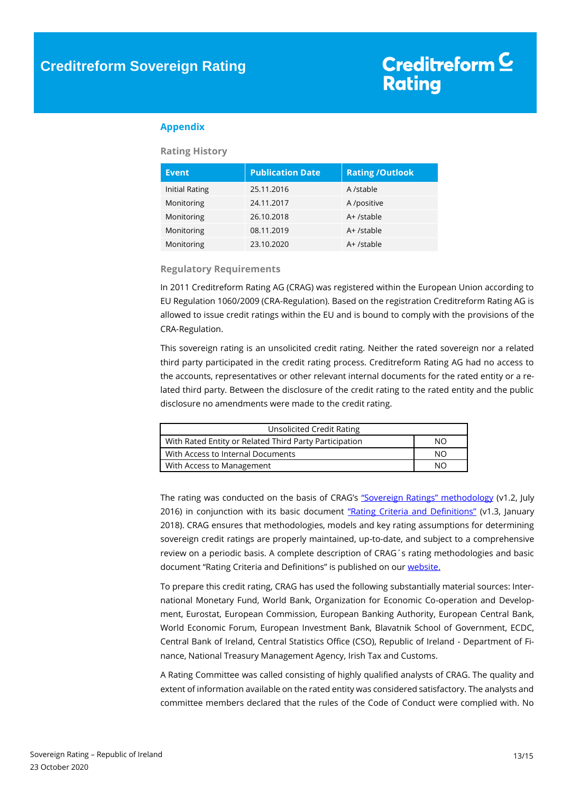### <span id="page-12-0"></span>**Appendix**

### **Rating History**

| <b>Event</b>          | <b>Publication Date</b> | <b>Rating / Outlook</b> |
|-----------------------|-------------------------|-------------------------|
| <b>Initial Rating</b> | 25.11.2016              | A /stable               |
| Monitoring            | 24.11.2017              | A /positive             |
| Monitoring            | 26.10.2018              | A+ /stable              |
| Monitoring            | 08.11.2019              | A+ /stable              |
| Monitoring            | 23.10.2020              | A+ /stable              |

### **Regulatory Requirements**

In 2011 Creditreform Rating AG (CRAG) was registered within the European Union according to EU Regulation 1060/2009 (CRA-Regulation). Based on the registration Creditreform Rating AG is allowed to issue credit ratings within the EU and is bound to comply with the provisions of the CRA-Regulation.

This sovereign rating is an unsolicited credit rating. Neither the rated sovereign nor a related third party participated in the credit rating process. Creditreform Rating AG had no access to the accounts, representatives or other relevant internal documents for the rated entity or a related third party. Between the disclosure of the credit rating to the rated entity and the public disclosure no amendments were made to the credit rating.

| Unsolicited Credit Rating                              |     |
|--------------------------------------------------------|-----|
| With Rated Entity or Related Third Party Participation | NO. |
| With Access to Internal Documents                      | NO. |
| With Access to Management                              | NΟ  |

The rating was conducted on the basis of CRAG's ["Sovereign Ratings" methodology](https://www.creditreform-rating.de/en/about-us/regulatory-requirements.html?file=files/content/downloads/Externes%20Rating/Regulatorische%20Anforderungen/EN/Ratingmethodiken%20EN/Rating%20Methodology%20Sovereign%20Ratings.pdf) (v1.2, July 2016) in conjunction with its basic document ["Rating Criteria and Definitions"](https://www.creditreform-rating.de/en/about-us/regulatory-requirements.html?file=files/content/downloads/Externes%20Rating/Regulatorische%20Anforderungen/EN/Ratingmethodiken%20EN/CRAG%20Rating%20Criteria%20and%20Definitions.pdf) (v1.3, January 2018). CRAG ensures that methodologies, models and key rating assumptions for determining sovereign credit ratings are properly maintained, up-to-date, and subject to a comprehensive review on a periodic basis. A complete description of CRAG´s rating methodologies and basic document "Rating Criteria and Definitions" is published on our [website.](https://www.creditreform-rating.de/en/about-us/regulatory-requirements.html)

To prepare this credit rating, CRAG has used the following substantially material sources: International Monetary Fund, World Bank, Organization for Economic Co-operation and Development, Eurostat, European Commission, European Banking Authority, European Central Bank, World Economic Forum, European Investment Bank, Blavatnik School of Government, ECDC, Central Bank of Ireland, Central Statistics Office (CSO), Republic of Ireland - Department of Finance, National Treasury Management Agency, Irish Tax and Customs.

A Rating Committee was called consisting of highly qualified analysts of CRAG. The quality and extent of information available on the rated entity was considered satisfactory. The analysts and committee members declared that the rules of the Code of Conduct were complied with. No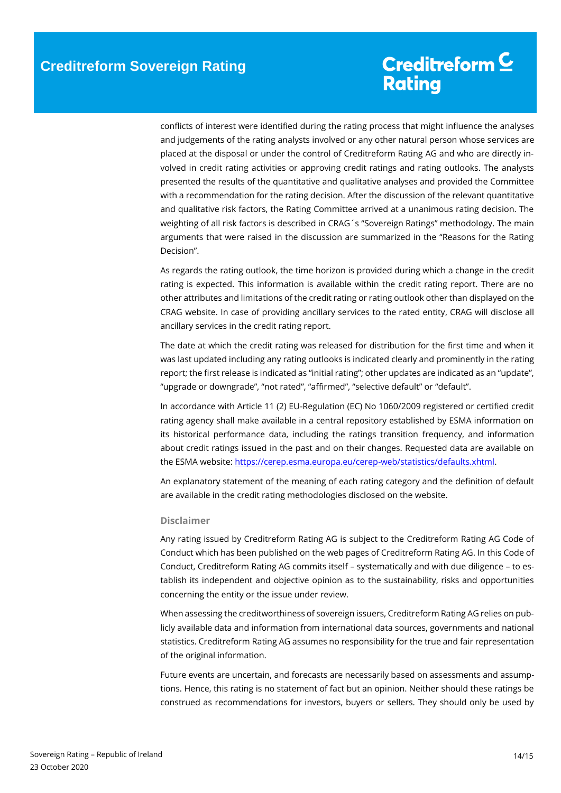conflicts of interest were identified during the rating process that might influence the analyses and judgements of the rating analysts involved or any other natural person whose services are placed at the disposal or under the control of Creditreform Rating AG and who are directly involved in credit rating activities or approving credit ratings and rating outlooks. The analysts presented the results of the quantitative and qualitative analyses and provided the Committee with a recommendation for the rating decision. After the discussion of the relevant quantitative and qualitative risk factors, the Rating Committee arrived at a unanimous rating decision. The weighting of all risk factors is described in CRAG´s "Sovereign Ratings" methodology. The main arguments that were raised in the discussion are summarized in the "Reasons for the Rating Decision".

As regards the rating outlook, the time horizon is provided during which a change in the credit rating is expected. This information is available within the credit rating report. There are no other attributes and limitations of the credit rating or rating outlook other than displayed on the CRAG website. In case of providing ancillary services to the rated entity, CRAG will disclose all ancillary services in the credit rating report.

The date at which the credit rating was released for distribution for the first time and when it was last updated including any rating outlooks is indicated clearly and prominently in the rating report; the first release is indicated as "initial rating"; other updates are indicated as an "update", "upgrade or downgrade", "not rated", "affirmed", "selective default" or "default".

In accordance with Article 11 (2) EU-Regulation (EC) No 1060/2009 registered or certified credit rating agency shall make available in a central repository established by ESMA information on its historical performance data, including the ratings transition frequency, and information about credit ratings issued in the past and on their changes. Requested data are available on the ESMA website[: https://cerep.esma.europa.eu/cerep-web/statistics/defaults.xhtml.](https://cerep.esma.europa.eu/cerep-web/statistics/defaults.xhtml)

An explanatory statement of the meaning of each rating category and the definition of default are available in the credit rating methodologies disclosed on the website.

### **Disclaimer**

Any rating issued by Creditreform Rating AG is subject to the Creditreform Rating AG Code of Conduct which has been published on the web pages of Creditreform Rating AG. In this Code of Conduct, Creditreform Rating AG commits itself – systematically and with due diligence – to establish its independent and objective opinion as to the sustainability, risks and opportunities concerning the entity or the issue under review.

When assessing the creditworthiness of sovereign issuers, Creditreform Rating AG relies on publicly available data and information from international data sources, governments and national statistics. Creditreform Rating AG assumes no responsibility for the true and fair representation of the original information.

Future events are uncertain, and forecasts are necessarily based on assessments and assumptions. Hence, this rating is no statement of fact but an opinion. Neither should these ratings be construed as recommendations for investors, buyers or sellers. They should only be used by